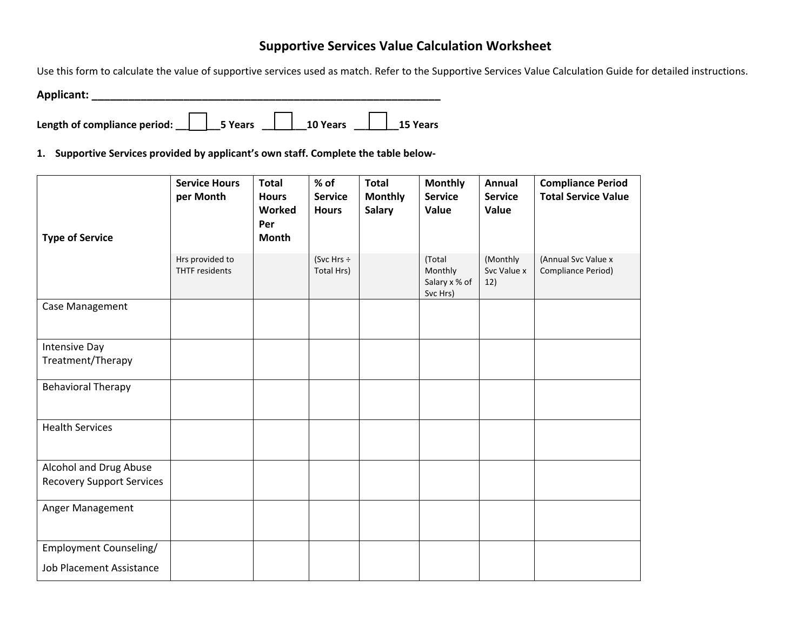## **Supportive Services Value Calculation Worksheet**

Use this form to calculate the value of supportive services used as match. Refer to the Supportive Services Value Calculation Guide for detailed instructions.

**Applicant: \_\_\_\_\_\_\_\_\_\_\_\_\_\_\_\_\_\_\_\_\_\_\_\_\_\_\_\_\_\_\_\_\_\_\_\_\_\_\_\_\_\_\_\_\_\_\_\_\_\_\_\_\_\_\_\_\_**

Length of compliance period: \_\_**\_\_\_\_\_\_\_\_5 Years \_\_\_\_\_\_\_\_\_\_10 Years \_\_\_\_\_\_\_\_\_\_15 Years** 

**1. Supportive Services provided by applicant's own staff. Complete the table below-**

| <b>Type of Service</b>                                     | <b>Service Hours</b><br>per Month        | <b>Total</b><br><b>Hours</b><br>Worked<br>Per<br>Month | % of<br><b>Service</b><br><b>Hours</b> | <b>Total</b><br><b>Monthly</b><br><b>Salary</b> | <b>Monthly</b><br><b>Service</b><br>Value      | Annual<br><b>Service</b><br>Value | <b>Compliance Period</b><br><b>Total Service Value</b> |
|------------------------------------------------------------|------------------------------------------|--------------------------------------------------------|----------------------------------------|-------------------------------------------------|------------------------------------------------|-----------------------------------|--------------------------------------------------------|
|                                                            | Hrs provided to<br><b>THTF</b> residents |                                                        | (Svc Hrs $\div$<br>Total Hrs)          |                                                 | (Total<br>Monthly<br>Salary x % of<br>Svc Hrs) | (Monthly<br>Svc Value x<br>12)    | (Annual Svc Value x<br>Compliance Period)              |
| Case Management                                            |                                          |                                                        |                                        |                                                 |                                                |                                   |                                                        |
| Intensive Day<br>Treatment/Therapy                         |                                          |                                                        |                                        |                                                 |                                                |                                   |                                                        |
| <b>Behavioral Therapy</b>                                  |                                          |                                                        |                                        |                                                 |                                                |                                   |                                                        |
| <b>Health Services</b>                                     |                                          |                                                        |                                        |                                                 |                                                |                                   |                                                        |
| Alcohol and Drug Abuse<br><b>Recovery Support Services</b> |                                          |                                                        |                                        |                                                 |                                                |                                   |                                                        |
| Anger Management                                           |                                          |                                                        |                                        |                                                 |                                                |                                   |                                                        |
| Employment Counseling/<br><b>Job Placement Assistance</b>  |                                          |                                                        |                                        |                                                 |                                                |                                   |                                                        |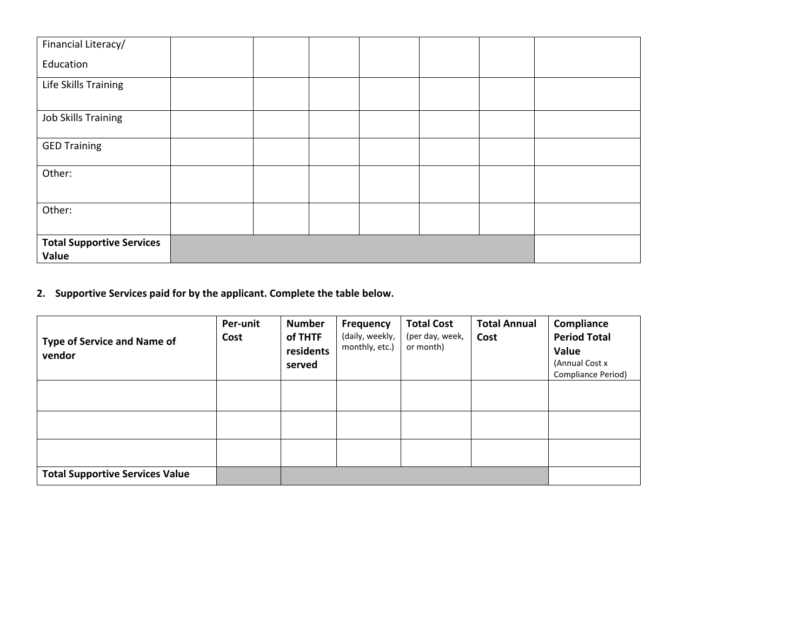| Financial Literacy/                       |  |  |  |  |
|-------------------------------------------|--|--|--|--|
| Education                                 |  |  |  |  |
| Life Skills Training                      |  |  |  |  |
|                                           |  |  |  |  |
| <b>Job Skills Training</b>                |  |  |  |  |
| <b>GED Training</b>                       |  |  |  |  |
| Other:                                    |  |  |  |  |
| Other:                                    |  |  |  |  |
| <b>Total Supportive Services</b><br>Value |  |  |  |  |

**2. Supportive Services paid for by the applicant. Complete the table below.** 

| <b>Type of Service and Name of</b><br>vendor | Per-unit<br>Cost | <b>Number</b><br>of THTF<br>residents<br>served | <b>Frequency</b><br>(daily, weekly,<br>monthly, etc.) | <b>Total Cost</b><br>(per day, week,<br>or month) | <b>Total Annual</b><br>Cost | Compliance<br><b>Period Total</b><br>Value<br>(Annual Cost x<br>Compliance Period) |
|----------------------------------------------|------------------|-------------------------------------------------|-------------------------------------------------------|---------------------------------------------------|-----------------------------|------------------------------------------------------------------------------------|
|                                              |                  |                                                 |                                                       |                                                   |                             |                                                                                    |
|                                              |                  |                                                 |                                                       |                                                   |                             |                                                                                    |
|                                              |                  |                                                 |                                                       |                                                   |                             |                                                                                    |
| <b>Total Supportive Services Value</b>       |                  |                                                 |                                                       |                                                   |                             |                                                                                    |